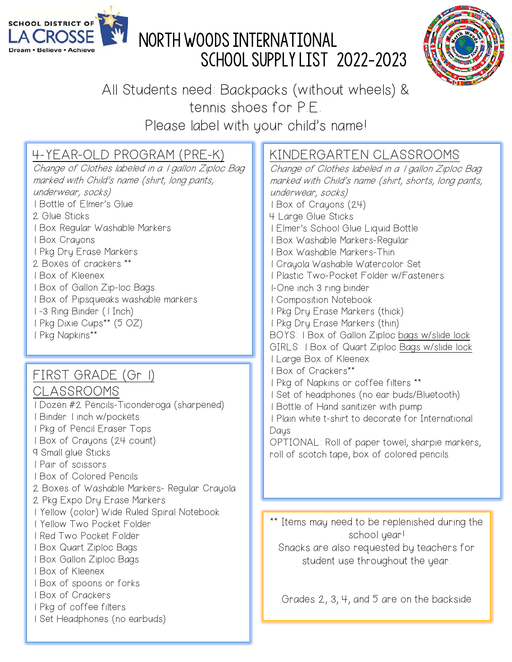

# LA CROSSE ST NORTH WOODS INTERNATIONAL SCHOOL SUPPLY LIST 2022-2023



All Students need: Backpacks (without wheels) & tennis shoes for P.E.

Please label with your child's name!

### 4-YEAR-OLD PROGRAM (PRE-K)

Change of Clothes labeled in a 1 gallon Ziploc Bag marked with Child's name (shirt, long pants, underwear, socks) 1 Bottle of Elmer's Glue 2 Glue Sticks 1 Box Regular Washable Markers 1 Box Crayons 1 Pkg Dry Erase Markers 2 Boxes of crackers \*\* 1 Box of Kleenex 1 Box of Gallon Zip-loc Bags 1 Box of Pipsqueaks washable markers 1 -3 Ring Binder (1 Inch) 1 Pkg Dixie Cups\*\* (5 OZ) 1 Pkg Napkins\*\*

#### FIRST GRADE (Gr 1)

### CLASSROOMS

1 Dozen #2 Pencils-Ticonderoga (sharpened) 1 Binder 1 inch w/pockets 1 Pkg of Pencil Eraser Tops 1 Box of Crayons (24 count) 9 Small glue Sticks 1 Pair of scissors 1 Box of Colored Pencils 2 Boxes of Washable Markers- Regular Crayola 2 Pkg Expo Dry Erase Markers 1 Yellow (color) Wide Ruled Spiral Notebook 1 Yellow Two Pocket Folder 1 Red Two Pocket Folder 1 Box Quart Ziploc Bags 1 Box Gallon Ziploc Bags 1 Box of Kleenex 1 Box of spoons or forks 1 Box of Crackers 1 Pkg of coffee filters 1 Set Headphones (no earbuds)

#### KINDERGARTEN CLASSROOMS

Change of Clothes labeled in a 1 gallon Ziploc Bag marked with Child's name (shirt, shorts, long pants, underwear, socks) 1 Box of Crayons (24) 4 Large Glue Sticks 1 Elmer's School Glue Liquid Bottle 1 Box Washable Markers-Regular 1 Box Washable Markers-Thin 1 Crayola Washable Watercolor Set 1 Plastic Two-Pocket Folder w/Fasteners 1-One inch 3 ring binder 1 Composition Notebook 1 Pkg Dry Erase Markers (thick) 1 Pkg Dry Erase Markers (thin) BOYS: 1 Box of Gallon Ziploc bags w/slide lock GIRLS: 1 Box of Quart Ziploc Bags w/slide lock 1 Large Box of Kleenex 1 Box of Crackers\*\* 1 Pkg of Napkins or coffee filters \*\* 1 Set of headphones (no ear buds/Bluetooth) 1 Bottle of Hand sanitizer with pump 1 Plain white t-shirt to decorate for International Daus OPTIONAL: Roll of paper towel, sharpie markers, roll of scotch tape, box of colored pencils

\*\* Items may need to be replenished during the school year! Snacks are also requested by teachers for student use throughout the year.

Grades 2, 3, 4, and 5 are on the backside